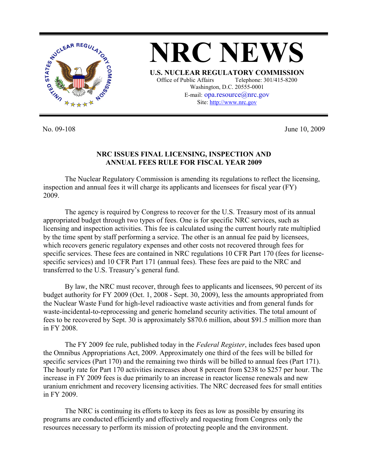

No. 09-108 June 10, 2009

## **NRC ISSUES FINAL LICENSING, INSPECTION AND ANNUAL FEES RULE FOR FISCAL YEAR 2009**

 The Nuclear Regulatory Commission is amending its regulations to reflect the licensing, inspection and annual fees it will charge its applicants and licensees for fiscal year (FY) 2009.

 The agency is required by Congress to recover for the U.S. Treasury most of its annual appropriated budget through two types of fees. One is for specific NRC services, such as licensing and inspection activities. This fee is calculated using the current hourly rate multiplied by the time spent by staff performing a service. The other is an annual fee paid by licensees, which recovers generic regulatory expenses and other costs not recovered through fees for specific services. These fees are contained in NRC regulations 10 CFR Part 170 (fees for licensespecific services) and 10 CFR Part 171 (annual fees). These fees are paid to the NRC and transferred to the U.S. Treasury's general fund.

 By law, the NRC must recover, through fees to applicants and licensees, 90 percent of its budget authority for FY 2009 (Oct. 1, 2008 - Sept. 30, 2009), less the amounts appropriated from the Nuclear Waste Fund for high-level radioactive waste activities and from general funds for waste-incidental-to-reprocessing and generic homeland security activities. The total amount of fees to be recovered by Sept. 30 is approximately \$870.6 million, about \$91.5 million more than in FY 2008.

 The FY 2009 fee rule, published today in the *Federal Register*, includes fees based upon the Omnibus Appropriations Act, 2009. Approximately one third of the fees will be billed for specific services (Part 170) and the remaining two thirds will be billed to annual fees (Part 171). The hourly rate for Part 170 activities increases about 8 percent from \$238 to \$257 per hour. The increase in FY 2009 fees is due primarily to an increase in reactor license renewals and new uranium enrichment and recovery licensing activities. The NRC decreased fees for small entities in FY 2009.

 The NRC is continuing its efforts to keep its fees as low as possible by ensuring its programs are conducted efficiently and effectively and requesting from Congress only the resources necessary to perform its mission of protecting people and the environment.